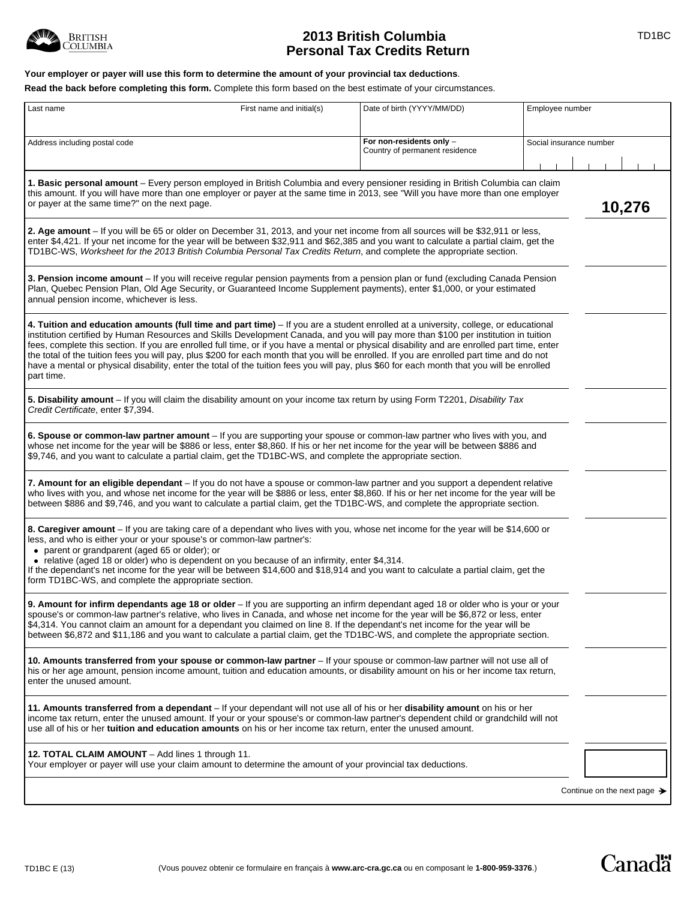

# **2013 British Columbia TD1BC Personal Tax Credits Return**

## **Your employer or payer will use this form to determine the amount of your provincial tax deductions**.

**Read the back before completing this form.** Complete this form based on the best estimate of your circumstances.

| Last name                                                                                                                                                                                                                                                                                                                                                                                                                                                                                                                                                                                                                                                                                                                           | First name and initial(s)                                                                     | Date of birth (YYYY/MM/DD)                                 | Employee number                         |
|-------------------------------------------------------------------------------------------------------------------------------------------------------------------------------------------------------------------------------------------------------------------------------------------------------------------------------------------------------------------------------------------------------------------------------------------------------------------------------------------------------------------------------------------------------------------------------------------------------------------------------------------------------------------------------------------------------------------------------------|-----------------------------------------------------------------------------------------------|------------------------------------------------------------|-----------------------------------------|
| Address including postal code                                                                                                                                                                                                                                                                                                                                                                                                                                                                                                                                                                                                                                                                                                       |                                                                                               | For non-residents only -<br>Country of permanent residence | Social insurance number                 |
| 1. Basic personal amount – Every person employed in British Columbia and every pensioner residing in British Columbia can claim<br>this amount. If you will have more than one employer or payer at the same time in 2013, see "Will you have more than one employer<br>or payer at the same time?" on the next page.                                                                                                                                                                                                                                                                                                                                                                                                               |                                                                                               |                                                            | 10,276                                  |
| 2. Age amount - If you will be 65 or older on December 31, 2013, and your net income from all sources will be \$32,911 or less,<br>enter \$4,421. If your net income for the year will be between \$32,911 and \$62,385 and you want to calculate a partial claim, get the<br>TD1BC-WS, Worksheet for the 2013 British Columbia Personal Tax Credits Return, and complete the appropriate section.                                                                                                                                                                                                                                                                                                                                  |                                                                                               |                                                            |                                         |
| 3. Pension income amount - If you will receive regular pension payments from a pension plan or fund (excluding Canada Pension<br>Plan, Quebec Pension Plan, Old Age Security, or Guaranteed Income Supplement payments), enter \$1,000, or your estimated<br>annual pension income, whichever is less.                                                                                                                                                                                                                                                                                                                                                                                                                              |                                                                                               |                                                            |                                         |
| 4. Tuition and education amounts (full time and part time) – If you are a student enrolled at a university, college, or educational<br>institution certified by Human Resources and Skills Development Canada, and you will pay more than \$100 per institution in tuition<br>fees, complete this section. If you are enrolled full time, or if you have a mental or physical disability and are enrolled part time, enter<br>the total of the tuition fees you will pay, plus \$200 for each month that you will be enrolled. If you are enrolled part time and do not<br>have a mental or physical disability, enter the total of the tuition fees you will pay, plus \$60 for each month that you will be enrolled<br>part time. |                                                                                               |                                                            |                                         |
| 5. Disability amount – If you will claim the disability amount on your income tax return by using Form T2201, Disability Tax<br>Credit Certificate, enter \$7,394.                                                                                                                                                                                                                                                                                                                                                                                                                                                                                                                                                                  |                                                                                               |                                                            |                                         |
| 6. Spouse or common-law partner amount - If you are supporting your spouse or common-law partner who lives with you, and<br>whose net income for the year will be \$886 or less, enter \$8,860. If his or her net income for the year will be between \$886 and<br>\$9,746, and you want to calculate a partial claim, get the TD1BC-WS, and complete the appropriate section.                                                                                                                                                                                                                                                                                                                                                      |                                                                                               |                                                            |                                         |
| 7. Amount for an eligible dependant - If you do not have a spouse or common-law partner and you support a dependent relative<br>who lives with you, and whose net income for the year will be \$886 or less, enter \$8,860. If his or her net income for the year will be<br>between \$886 and \$9,746, and you want to calculate a partial claim, get the TD1BC-WS, and complete the appropriate section.                                                                                                                                                                                                                                                                                                                          |                                                                                               |                                                            |                                         |
| 8. Caregiver amount – If you are taking care of a dependant who lives with you, whose net income for the year will be \$14,600 or<br>less, and who is either your or your spouse's or common-law partner's:<br>• parent or grandparent (aged 65 or older); or                                                                                                                                                                                                                                                                                                                                                                                                                                                                       |                                                                                               |                                                            |                                         |
| If the dependant's net income for the year will be between \$14,600 and \$18,914 and you want to calculate a partial claim, get the<br>form TD1BC-WS, and complete the appropriate section.                                                                                                                                                                                                                                                                                                                                                                                                                                                                                                                                         | • relative (aged 18 or older) who is dependent on you because of an infirmity, enter \$4,314. |                                                            |                                         |
| 9. Amount for infirm dependants age 18 or older - If you are supporting an infirm dependant aged 18 or older who is your or your<br>spouse's or common-law partner's relative, who lives in Canada, and whose net income for the year will be \$6,872 or less, enter<br>\$4,314. You cannot claim an amount for a dependant you claimed on line 8. If the dependant's net income for the year will be<br>between \$6,872 and \$11,186 and you want to calculate a partial claim, get the TD1BC-WS, and complete the appropriate section.                                                                                                                                                                                            |                                                                                               |                                                            |                                         |
| 10. Amounts transferred from your spouse or common-law partner - If your spouse or common-law partner will not use all of<br>his or her age amount, pension income amount, tuition and education amounts, or disability amount on his or her income tax return,<br>enter the unused amount.                                                                                                                                                                                                                                                                                                                                                                                                                                         |                                                                                               |                                                            |                                         |
| 11. Amounts transferred from a dependant - If your dependant will not use all of his or her disability amount on his or her<br>income tax return, enter the unused amount. If your or your spouse's or common-law partner's dependent child or grandchild will not<br>use all of his or her <b>tuition and education amounts</b> on his or her income tax return, enter the unused amount.                                                                                                                                                                                                                                                                                                                                          |                                                                                               |                                                            |                                         |
| 12. TOTAL CLAIM AMOUNT - Add lines 1 through 11.<br>Your employer or payer will use your claim amount to determine the amount of your provincial tax deductions.                                                                                                                                                                                                                                                                                                                                                                                                                                                                                                                                                                    |                                                                                               |                                                            |                                         |
|                                                                                                                                                                                                                                                                                                                                                                                                                                                                                                                                                                                                                                                                                                                                     |                                                                                               |                                                            | Continue on the next page $\rightarrow$ |

Canadä